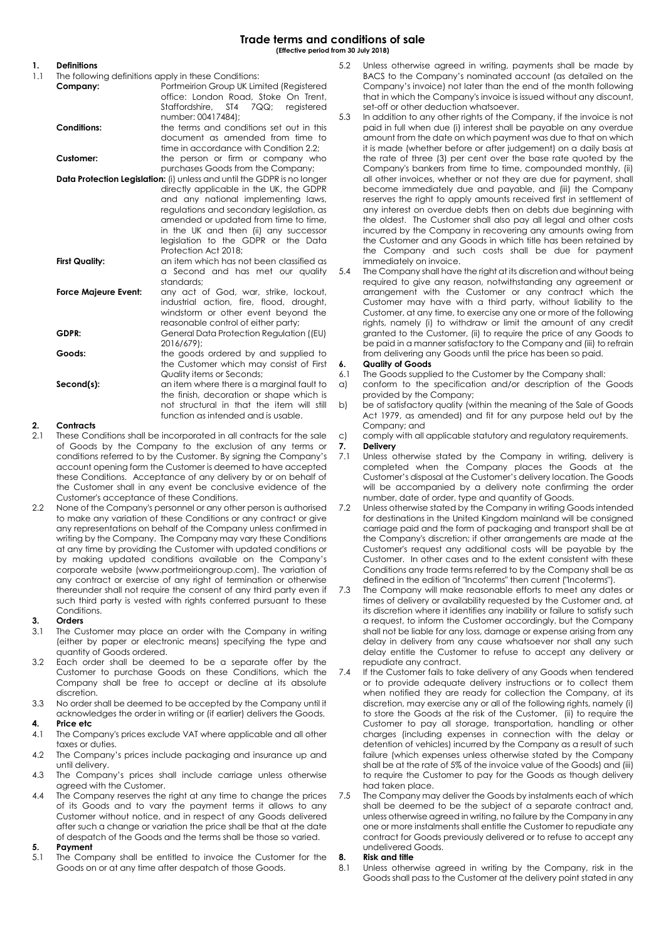# **1. Definitions**

- The following definitions apply in these Conditions:
	- **Company:** Portmeirion Group UK Limited (Registered office: London Road, Stoke On Trent,<br>Staffordshire, ST4 7QQ: reaistered Staffordshire, ST4 number: 00417484);

#### **Conditions:** the terms and conditions set out in this document as amended from time to time in accordance with Condition 2.2; **Customer:** the person or firm or company who

purchases Goods from the Company; **Data Protection Legislation:** (i) unless and until the GDPR is no longer

directly applicable in the UK, the GDPR and any national implementing laws, regulations and secondary legislation, as amended or updated from time to time, in the UK and then (ii) any successor legislation to the GDPR or the Data Protection Act 2018;

- **First Quality: an item which has not been classified as** a Second and has met our quality standards;
- **Force Majeure Event:** any act of God, war, strike, lockout, industrial action, fire, flood, drought, windstorm or other event beyond the reasonable control of either party;

**GDPR:** General Data Protection Regulation ((EU) 2016/679);

**Goods:** the goods ordered by and supplied to the Customer which may consist of First Quality items or Seconds;

**Second(s):** an item where there is a marginal fault to the finish, decoration or shape which is not structural in that the item will still function as intended and is usable.

# **2. Contracts**

- 2.1 These Conditions shall be incorporated in all contracts for the sale of Goods by the Company to the exclusion of any terms or conditions referred to by the Customer. By signing the Company's account opening form the Customer is deemed to have accepted these Conditions. Acceptance of any delivery by or on behalf of the Customer shall in any event be conclusive evidence of the Customer's acceptance of these Conditions.
- 2.2 None of the Company's personnel or any other person is authorised to make any variation of these Conditions or any contract or give any representations on behalf of the Company unless confirmed in writing by the Company. The Company may vary these Conditions at any time by providing the Customer with updated conditions or by making updated conditions available on the Company's corporate website (www.portmeiriongroup.com). The variation of any contract or exercise of any right of termination or otherwise thereunder shall not require the consent of any third party even if such third party is vested with rights conferred pursuant to these Conditions.

## **3. Orders**

- 3.1 The Customer may place an order with the Company in writing (either by paper or electronic means) specifying the type and quantity of Goods ordered.
- 3.2 Each order shall be deemed to be a separate offer by the Customer to purchase Goods on these Conditions, which the Company shall be free to accept or decline at its absolute discretion.
- 3.3 No order shall be deemed to be accepted by the Company until it acknowledges the order in writing or (if earlier) delivers the Goods.

## **4. Price etc**

- 4.1 The Company's prices exclude VAT where applicable and all other taxes or duties.
- 4.2 The Company's prices include packaging and insurance up and until delivery.
- 4.3 The Company's prices shall include carriage unless otherwise agreed with the Customer.
- 4.4 The Company reserves the right at any time to change the prices of its Goods and to vary the payment terms it allows to any Customer without notice, and in respect of any Goods delivered after such a change or variation the price shall be that at the date of despatch of the Goods and the terms shall be those so varied.

## **5. Payment**

5.1 The Company shall be entitled to invoice the Customer for the Goods on or at any time after despatch of those Goods.

- 5.2 Unless otherwise agreed in writing, payments shall be made by BACS to the Company's nominated account (as detailed on the Company's invoice) not later than the end of the month following that in which the Company's invoice is issued without any discount, set-off or other deduction whatsoever.
- 5.3 In addition to any other rights of the Company, if the invoice is not paid in full when due (i) interest shall be payable on any overdue amount from the date on which payment was due to that on which it is made (whether before or after judgement) on a daily basis at the rate of three (3) per cent over the base rate quoted by the Company's bankers from time to time, compounded monthly, (ii) all other invoices, whether or not they are due for payment, shall become immediately due and payable, and (iii) the Company reserves the right to apply amounts received first in settlement of any interest on overdue debts then on debts due beginning with the oldest. The Customer shall also pay all legal and other costs incurred by the Company in recovering any amounts owing from the Customer and any Goods in which title has been retained by the Company and such costs shall be due for payment immediately on invoice.

5.4 The Company shall have the right at its discretion and without being required to give any reason, notwithstanding any agreement or arrangement with the Customer or any contract which the Customer may have with a third party, without liability to the Customer, at any time, to exercise any one or more of the following rights, namely (i) to withdraw or limit the amount of any credit granted to the Customer, (ii) to require the price of any Goods to be paid in a manner satisfactory to the Company and (iii) to refrain from delivering any Goods until the price has been so paid.

## **6. Quality of Goods**

- 6.1 The Goods supplied to the Customer by the Company shall:
- a) conform to the specification and/or description of the Goods provided by the Company;
- b) be of satisfactory quality (within the meaning of the Sale of Goods Act 1979, as amended) and fit for any purpose held out by the Company; and
- c) comply with all applicable statutory and regulatory requirements.

## **7. Delivery**

- 7.1 Unless otherwise stated by the Company in writing, delivery is completed when the Company places the Goods at the Customer's disposal at the Customer's delivery location. The Goods will be accompanied by a delivery note confirming the order number, date of order, type and quantity of Goods.
- 7.2 Unless otherwise stated by the Company in writing Goods intended for destinations in the United Kingdom mainland will be consigned carriage paid and the form of packaging and transport shall be at the Company's discretion; if other arrangements are made at the Customer's request any additional costs will be payable by the Customer. In other cases and to the extent consistent with these Conditions any trade terms referred to by the Company shall be as defined in the edition of "Incoterms" then current ("Incoterms").
- 7.3 The Company will make reasonable efforts to meet any dates or times of delivery or availability requested by the Customer and, at its discretion where it identifies any inability or failure to satisfy such a request, to inform the Customer accordingly, but the Company shall not be liable for any loss, damage or expense arising from any delay in delivery from any cause whatsoever nor shall any such delay entitle the Customer to refuse to accept any delivery or repudiate any contract.
- 7.4 If the Customer fails to take delivery of any Goods when tendered or to provide adequate delivery instructions or to collect them when notified they are ready for collection the Company, at its discretion, may exercise any or all of the following rights, namely (i) to store the Goods at the risk of the Customer, (ii) to require the Customer to pay all storage, transportation, handling or other charges (including expenses in connection with the delay or detention of vehicles) incurred by the Company as a result of such failure (which expenses unless otherwise stated by the Company shall be at the rate of 5% of the invoice value of the Goods) and (iii) to require the Customer to pay for the Goods as though delivery had taken place.
- The Company may deliver the Goods by instalments each of which shall be deemed to be the subject of a separate contract and, unless otherwise agreed in writing, no failure by the Company in any one or more instalments shall entitle the Customer to repudiate any contract for Goods previously delivered or to refuse to accept any undelivered Goods.

#### **8. Risk and title**

8.1 Unless otherwise agreed in writing by the Company, risk in the Goods shall pass to the Customer at the delivery point stated in any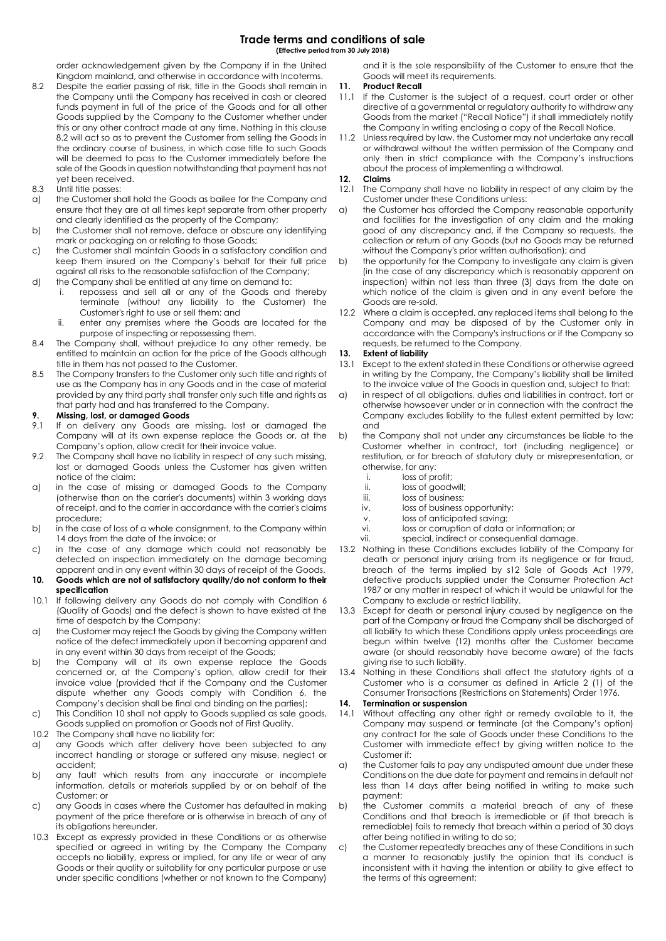# **Trade terms and conditions of sale**

**(Effective period from 30 July 2018)**

order acknowledgement given by the Company if in the United Kingdom mainland, and otherwise in accordance with Incoterms.

- 8.2 Despite the earlier passing of risk, title in the Goods shall remain in the Company until the Company has received in cash or cleared funds payment in full of the price of the Goods and for all other Goods supplied by the Company to the Customer whether under this or any other contract made at any time. Nothing in this clause 8.2 will act so as to prevent the Customer from selling the Goods in the ordinary course of business, in which case title to such Goods will be deemed to pass to the Customer immediately before the sale of the Goods in question notwithstanding that payment has not yet been received.
- 8.3 Until title passes:
- a) the Customer shall hold the Goods as bailee for the Company and ensure that they are at all times kept separate from other property and clearly identified as the property of the Company;
- b) the Customer shall not remove, deface or obscure any identifying mark or packaging on or relating to those Goods;
- c) the Customer shall maintain Goods in a satisfactory condition and keep them insured on the Company's behalf for their full price against all risks to the reasonable satisfaction of the Company;
- d) the Company shall be entitled at any time on demand to:
	- i. repossess and sell all or any of the Goods and thereby terminate (without any liability to the Customer) the Customer's right to use or sell them; and
	- ii. enter any premises where the Goods are located for the purpose of inspecting or repossessing them.
- 8.4 The Company shall, without prejudice to any other remedy, be entitled to maintain an action for the price of the Goods although title in them has not passed to the Customer.
- 8.5 The Company transfers to the Customer only such title and rights of use as the Company has in any Goods and in the case of material provided by any third party shall transfer only such title and rights as that party had and has transferred to the Company.

#### **9. Missing, lost, or damaged Goods**

- 9.1 If on delivery any Goods are missing, lost or damaged the Company will at its own expense replace the Goods or, at the Company's option, allow credit for their invoice value.
- 9.2 The Company shall have no liability in respect of any such missing, lost or damaged Goods unless the Customer has given written notice of the claim:
- a) in the case of missing or damaged Goods to the Company (otherwise than on the carrier's documents) within 3 working days of receipt, and to the carrier in accordance with the carrier's claims procedure;
- b) in the case of loss of a whole consignment, to the Company within 14 days from the date of the invoice; or
- c) in the case of any damage which could not reasonably be detected on inspection immediately on the damage becoming apparent and in any event within 30 days of receipt of the Goods.
- **10. Goods which are not of satisfactory quality/do not conform to their specification**
- 10.1 If following delivery any Goods do not comply with Condition 6 (Quality of Goods) and the defect is shown to have existed at the time of despatch by the Company:
- a) the Customer may reject the Goods by giving the Company written notice of the defect immediately upon it becoming apparent and in any event within 30 days from receipt of the Goods;
- b) the Company will at its own expense replace the Goods concerned or, at the Company's option, allow credit for their invoice value (provided that if the Company and the Customer dispute whether any Goods comply with Condition 6, the Company's decision shall be final and binding on the parties);
- c) This Condition 10 shall not apply to Goods supplied as sale goods, Goods supplied on promotion or Goods not of First Quality.
- 10.2 The Company shall have no liability for:
- a) any Goods which after delivery have been subjected to any incorrect handling or storage or suffered any misuse, neglect or accident;
- b) any fault which results from any inaccurate or incomplete information, details or materials supplied by or on behalf of the Customer; or
- c) any Goods in cases where the Customer has defaulted in making payment of the price therefore or is otherwise in breach of any of its obligations hereunder.
- 10.3 Except as expressly provided in these Conditions or as otherwise specified or agreed in writing by the Company the Company accepts no liability, express or implied, for any life or wear of any Goods or their quality or suitability for any particular purpose or use under specific conditions (whether or not known to the Company)

and it is the sole responsibility of the Customer to ensure that the Goods will meet its requirements.

#### **11. Product Recall**

- 11.1 If the Customer is the subject of a request, court order or other directive of a governmental or regulatory authority to withdraw any Goods from the market ("Recall Notice") it shall immediately notify the Company in writing enclosing a copy of the Recall Notice.
- 11.2 Unless required by law, the Customer may not undertake any recall or withdrawal without the written permission of the Company and only then in strict compliance with the Company's instructions about the process of implementing a withdrawal.

# **12. Claims**

- The Company shall have no liability in respect of any claim by the Customer under these Conditions unless:
- a) the Customer has afforded the Company reasonable opportunity and facilities for the investigation of any claim and the making good of any discrepancy and, if the Company so requests, the collection or return of any Goods (but no Goods may be returned without the Company's prior written authorisation); and
- b) the opportunity for the Company to investigate any claim is given (in the case of any discrepancy which is reasonably apparent on inspection) within not less than three (3) days from the date on which notice of the claim is given and in any event before the Goods are re-sold.
- 12.2 Where a claim is accepted, any replaced items shall belong to the Company and may be disposed of by the Customer only in accordance with the Company's instructions or if the Company so requests, be returned to the Company.

#### **13. Extent of liability**

- 13.1 Except to the extent stated in these Conditions or otherwise agreed in writing by the Company, the Company's liability shall be limited to the invoice value of the Goods in question and, subject to that:
- a) in respect of all obligations, duties and liabilities in contract, tort or otherwise howsoever under or in connection with the contract the Company excludes liability to the fullest extent permitted by law; and
- b) the Company shall not under any circumstances be liable to the Customer whether in contract, tort (including negligence) or restitution, or for breach of statutory duty or misrepresentation, or otherwise, for any:
	- i. loss of profit;<br>ii loss of good
	- loss of goodwill;
	- iii. loss of business;
	- iv. loss of business opportunity;
	- v. loss of anticipated saving;
	- vi. loss or corruption of data or information; or
	- vii. special, indirect or consequential damage.
- 13.2 Nothing in these Conditions excludes liability of the Company for death or personal injury arising from its negligence or for fraud, breach of the terms implied by s12 Sale of Goods Act 1979, defective products supplied under the Consumer Protection Act 1987 or any matter in respect of which it would be unlawful for the Company to exclude or restrict liability.
- 13.3 Except for death or personal injury caused by negligence on the part of the Company or fraud the Company shall be discharged of all liability to which these Conditions apply unless proceedings are begun within twelve (12) months after the Customer became aware (or should reasonably have become aware) of the facts giving rise to such liability.
- 13.4 Nothing in these Conditions shall affect the statutory rights of a Customer who is a consumer as defined in Article 2 (1) of the Consumer Transactions (Restrictions on Statements) Order 1976.

#### **14. Termination or suspension**

- 14.1 Without affecting any other right or remedy available to it, the Company may suspend or terminate (at the Company's option) any contract for the sale of Goods under these Conditions to the Customer with immediate effect by giving written notice to the Customer if:
- a) the Customer fails to pay any undisputed amount due under these Conditions on the due date for payment and remains in default not less than 14 days after being notified in writing to make such payment;
- b) the Customer commits a material breach of any of these Conditions and that breach is irremediable or (if that breach is remediable) fails to remedy that breach within a period of 30 days after being notified in writing to do so;
- c) the Customer repeatedly breaches any of these Conditions in such a manner to reasonably justify the opinion that its conduct is inconsistent with it having the intention or ability to give effect to the terms of this agreement;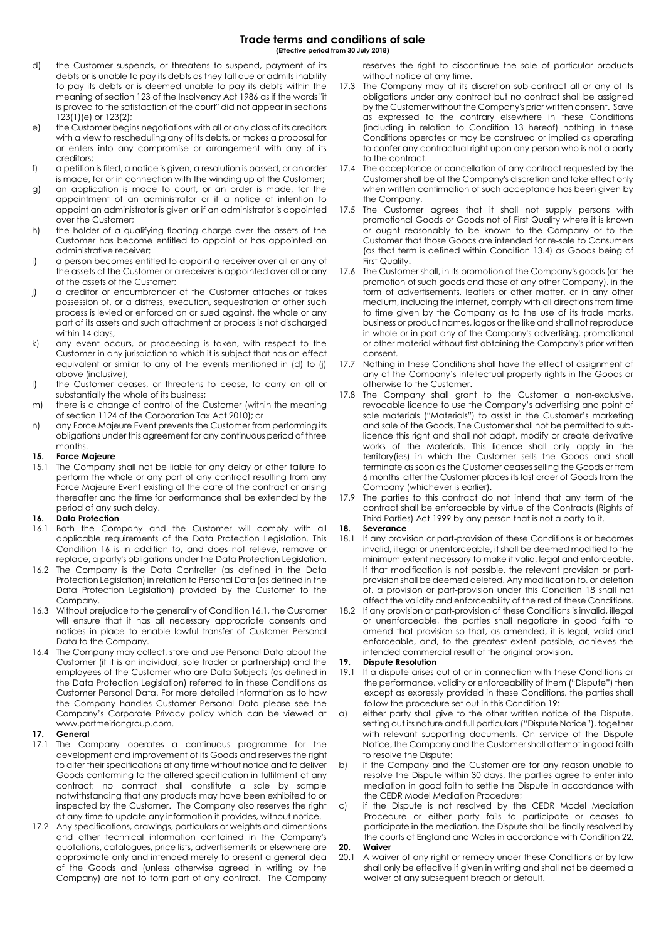**Trade terms and conditions of sale**

**(Effective period from 30 July 2018)**

- d) the Customer suspends, or threatens to suspend, payment of its debts or is unable to pay its debts as they fall due or admits inability to pay its debts or is deemed unable to pay its debts within the meaning of section 123 of the Insolvency Act 1986 as if the words "it is proved to the satisfaction of the court" did not appear in sections 123(1)(e) or 123(2);
- e) the Customer begins negotiations with all or any class of its creditors with a view to rescheduling any of its debts, or makes a proposal for or enters into any compromise or arrangement with any of its creditors;
- f) a petition is filed, a notice is given, a resolution is passed, or an order is made, for or in connection with the winding up of the Customer;
- g) an application is made to court, or an order is made, for the appointment of an administrator or if a notice of intention to appoint an administrator is given or if an administrator is appointed over the Customer;
- h) the holder of a qualifying floating charge over the assets of the Customer has become entitled to appoint or has appointed an administrative receiver;
- i) a person becomes entitled to appoint a receiver over all or any of the assets of the Customer or a receiver is appointed over all or any of the assets of the Customer;
- j) a creditor or encumbrancer of the Customer attaches or takes possession of, or a distress, execution, sequestration or other such process is levied or enforced on or sued against, the whole or any part of its assets and such attachment or process is not discharged within 14 days:
- k) any event occurs, or proceeding is taken, with respect to the Customer in any jurisdiction to which it is subject that has an effect equivalent or similar to any of the events mentioned in (d) to (j) above (inclusive);
- l) the Customer ceases, or threatens to cease, to carry on all or substantially the whole of its business;
- m) there is a change of control of the Customer (within the meaning of section 1124 of the Corporation Tax Act 2010); or
- n) any Force Majeure Event prevents the Customer from performing its obligations under this agreement for any continuous period of three months.

#### **15. Force Majeure**

15.1 The Company shall not be liable for any delay or other failure to perform the whole or any part of any contract resulting from any Force Majeure Event existing at the date of the contract or arising thereafter and the time for performance shall be extended by the period of any such delay.

#### **16. Data Protection**

- 16.1 Both the Company and the Customer will comply with all applicable requirements of the Data Protection Legislation. This Condition 16 is in addition to, and does not relieve, remove or replace, a party's obligations under the Data Protection Legislation.
- 16.2 The Company is the Data Controller (as defined in the Data Protection Legislation) in relation to Personal Data (as defined in the Data Protection Legislation) provided by the Customer to the Company.
- 16.3 Without prejudice to the generality of Condition 16.1, the Customer will ensure that it has all necessary appropriate consents and notices in place to enable lawful transfer of Customer Personal Data to the Company.
- 16.4 The Company may collect, store and use Personal Data about the Customer (if it is an individual, sole trader or partnership) and the employees of the Customer who are Data Subjects (as defined in the Data Protection Legislation) referred to in these Conditions as Customer Personal Data. For more detailed information as to how the Company handles Customer Personal Data please see the Company's Corporate Privacy policy which can be viewed at www.portmeiriongroup.com.

#### **17. General**

- 17.1 The Company operates a continuous programme for the development and improvement of its Goods and reserves the right to alter their specifications at any time without notice and to deliver Goods conforming to the altered specification in fulfilment of any contract; no contract shall constitute a sale by sample notwithstanding that any products may have been exhibited to or inspected by the Customer. The Company also reserves the right at any time to update any information it provides, without notice.
- 17.2 Any specifications, drawings, particulars or weights and dimensions and other technical information contained in the Company's quotations, catalogues, price lists, advertisements or elsewhere are approximate only and intended merely to present a general idea of the Goods and (unless otherwise agreed in writing by the Company) are not to form part of any contract. The Company

reserves the right to discontinue the sale of particular products without notice at any time.

- 17.3 The Company may at its discretion sub-contract all or any of its obligations under any contract but no contract shall be assigned by the Customer without the Company's prior written consent. Save as expressed to the contrary elsewhere in these Conditions (including in relation to Condition 13 hereof) nothing in these Conditions operates or may be construed or implied as operating to confer any contractual right upon any person who is not a party to the contract.
- 17.4 The acceptance or cancellation of any contract requested by the Customer shall be at the Company's discretion and take effect only when written confirmation of such acceptance has been given by the Company.
- 17.5 The Customer agrees that it shall not supply persons with promotional Goods or Goods not of First Quality where it is known or ought reasonably to be known to the Company or to the Customer that those Goods are intended for re-sale to Consumers (as that term is defined within Condition 13.4) as Goods being of First Quality.
- 17.6 The Customer shall, in its promotion of the Company's goods (or the promotion of such goods and those of any other Company), in the form of advertisements, leaflets or other matter, or in any other medium, including the internet, comply with all directions from time to time given by the Company as to the use of its trade marks, business or product names, logos or the like and shall not reproduce in whole or in part any of the Company's advertising, promotional or other material without first obtaining the Company's prior written consent.
- 17.7 Nothing in these Conditions shall have the effect of assignment of any of the Company's intellectual property rights in the Goods or otherwise to the Customer.
- 17.8 The Company shall grant to the Customer a non-exclusive, revocable licence to use the Company's advertising and point of sale materials ("Materials") to assist in the Customer's marketing and sale of the Goods. The Customer shall not be permitted to sublicence this right and shall not adapt, modify or create derivative works of the Materials. This licence shall only apply in the territory(ies) in which the Customer sells the Goods and shall terminate as soon as the Customer ceases selling the Goods or from 6 months after the Customer places its last order of Goods from the Company (whichever is earlier).
- 17.9 The parties to this contract do not intend that any term of the contract shall be enforceable by virtue of the Contracts (Rights of Third Parties) Act 1999 by any person that is not a party to it.

#### **18. Severance**

- 18.1 If any provision or part-provision of these Conditions is or becomes invalid, illegal or unenforceable, it shall be deemed modified to the minimum extent necessary to make it valid, legal and enforceable. If that modification is not possible, the relevant provision or partprovision shall be deemed deleted. Any modification to, or deletion of, a provision or part-provision under this Condition 18 shall not affect the validity and enforceability of the rest of these Conditions.
- 18.2 If any provision or part-provision of these Conditions is invalid, illegal or unenforceable, the parties shall negotiate in good faith to amend that provision so that, as amended, it is legal, valid and enforceable, and, to the greatest extent possible, achieves the intended commercial result of the original provision.

#### **19. Dispute Resolution**

- 19.1 If a dispute arises out of or in connection with these Conditions or the performance, validity or enforceability of them ("Dispute") then except as expressly provided in these Conditions, the parties shall follow the procedure set out in this Condition 19:
- a) either party shall give to the other written notice of the Dispute, setting out its nature and full particulars ("Dispute Notice"), together with relevant supporting documents. On service of the Dispute Notice, the Company and the Customer shall attempt in good faith to resolve the Dispute;
- b) if the Company and the Customer are for any reason unable to resolve the Dispute within 30 days, the parties agree to enter into mediation in good faith to settle the Dispute in accordance with the CEDR Model Mediation Procedure;
- c) if the Dispute is not resolved by the CEDR Model Mediation Procedure or either party fails to participate or ceases to participate in the mediation, the Dispute shall be finally resolved by the courts of England and Wales in accordance with Condition 22.

#### **20. Waiver**

20.1 A waiver of any right or remedy under these Conditions or by law shall only be effective if given in writing and shall not be deemed a waiver of any subsequent breach or default.